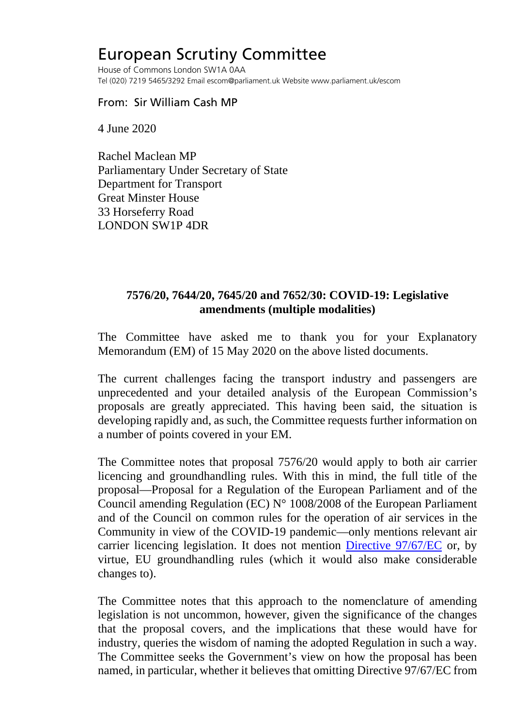## European Scrutiny Committee

House of Commons London SW1A 0AA Tel (020) 7219 5465/3292 Email escom@parliament.uk Website www.parliament.uk/escom

## From: Sir William Cash MP

4 June 2020

Rachel Maclean MP Parliamentary Under Secretary of State Department for Transport Great Minster House 33 Horseferry Road LONDON SW1P 4DR

## **7576/20, 7644/20, 7645/20 and 7652/30: COVID-19: Legislative amendments (multiple modalities)**

The Committee have asked me to thank you for your Explanatory Memorandum (EM) of 15 May 2020 on the above listed documents.

The current challenges facing the transport industry and passengers are unprecedented and your detailed analysis of the European Commission's proposals are greatly appreciated. This having been said, the situation is developing rapidly and, as such, the Committee requests further information on a number of points covered in your EM.

The Committee notes that proposal 7576/20 would apply to both air carrier licencing and groundhandling rules. With this in mind, the full title of the proposal—Proposal for a Regulation of the European Parliament and of the Council amending Regulation (EC) N° 1008/2008 of the European Parliament and of the Council on common rules for the operation of air services in the Community in view of the COVID-19 pandemic—only mentions relevant air carrier licencing legislation. It does not mention [Directive 97/67/EC](https://eur-lex.europa.eu/legal-content/EN/TXT/PDF/?uri=CELEX:31996L0067&from=EN) or, by virtue, EU groundhandling rules (which it would also make considerable changes to).

The Committee notes that this approach to the nomenclature of amending legislation is not uncommon, however, given the significance of the changes that the proposal covers, and the implications that these would have for industry, queries the wisdom of naming the adopted Regulation in such a way. The Committee seeks the Government's view on how the proposal has been named, in particular, whether it believes that omitting Directive 97/67/EC from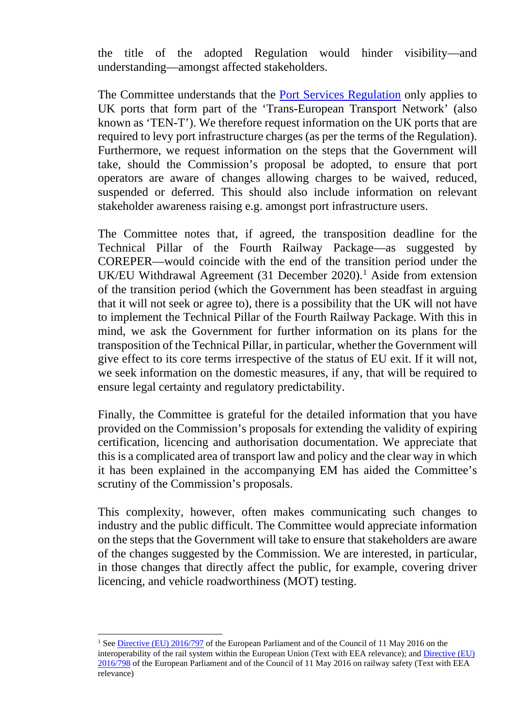the title of the adopted Regulation would hinder visibility—and understanding—amongst affected stakeholders.

The Committee understands that the [Port Services Regulation](https://eur-lex.europa.eu/legal-content/EN/TXT/PDF/?uri=CELEX:32017R0352&from=EN) only applies to UK ports that form part of the 'Trans-European Transport Network' (also known as 'TEN-T'). We therefore request information on the UK ports that are required to levy port infrastructure charges (as per the terms of the Regulation). Furthermore, we request information on the steps that the Government will take, should the Commission's proposal be adopted, to ensure that port operators are aware of changes allowing charges to be waived, reduced, suspended or deferred. This should also include information on relevant stakeholder awareness raising e.g. amongst port infrastructure users.

The Committee notes that, if agreed, the transposition deadline for the Technical Pillar of the Fourth Railway Package—as suggested by COREPER—would coincide with the end of the transition period under the UK/EU Withdrawal Agreement (3[1](#page-1-0) December 2020).<sup>1</sup> Aside from extension of the transition period (which the Government has been steadfast in arguing that it will not seek or agree to), there is a possibility that the UK will not have to implement the Technical Pillar of the Fourth Railway Package. With this in mind, we ask the Government for further information on its plans for the transposition of the Technical Pillar, in particular, whether the Government will give effect to its core terms irrespective of the status of EU exit. If it will not, we seek information on the domestic measures, if any, that will be required to ensure legal certainty and regulatory predictability.

Finally, the Committee is grateful for the detailed information that you have provided on the Commission's proposals for extending the validity of expiring certification, licencing and authorisation documentation. We appreciate that this is a complicated area of transport law and policy and the clear way in which it has been explained in the accompanying EM has aided the Committee's scrutiny of the Commission's proposals.

This complexity, however, often makes communicating such changes to industry and the public difficult. The Committee would appreciate information on the steps that the Government will take to ensure that stakeholders are aware of the changes suggested by the Commission. We are interested, in particular, in those changes that directly affect the public, for example, covering driver licencing, and vehicle roadworthiness (MOT) testing.

<span id="page-1-0"></span><sup>&</sup>lt;sup>1</sup> See [Directive \(EU\) 2016/797](https://eur-lex.europa.eu/legal-content/EN/TXT/?uri=uriserv%3AOJ.L_.2016.138.01.0044.01.ENG) of the European Parliament and of the Council of 11 May 2016 on the interoperability of the rail system within the European Union (Text with EEA relevance); an[d Directive \(EU\)](https://eur-lex.europa.eu/legal-content/EN/TXT/PDF/?uri=CELEX:32016L0798&from=EN)  [2016/798](https://eur-lex.europa.eu/legal-content/EN/TXT/PDF/?uri=CELEX:32016L0798&from=EN) of the European Parliament and of the Council of 11 May 2016 on railway safety (Text with EEA relevance)